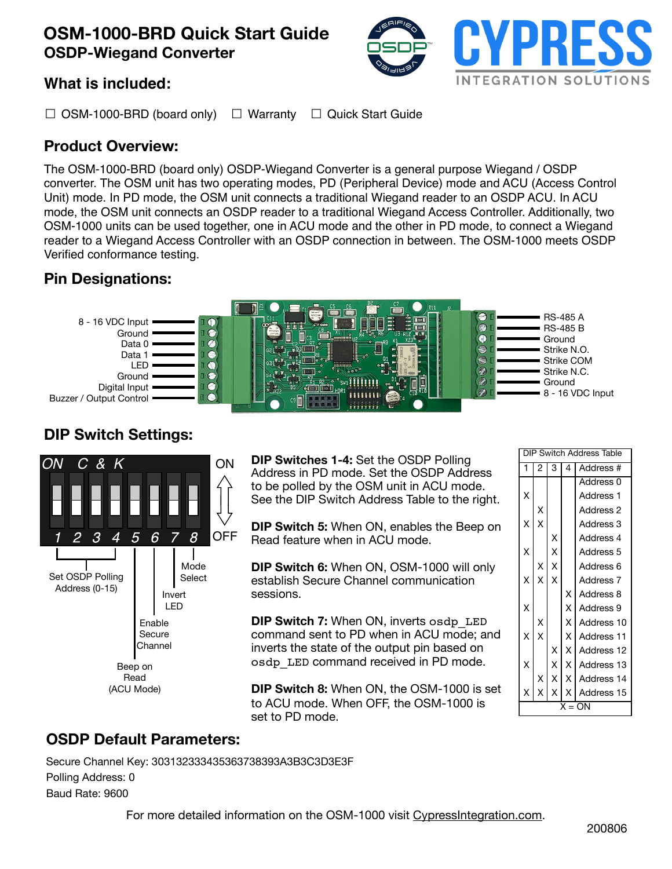# **OSM-1000-BRD Quick Start Guide OSDP-Wiegand Converter**



## **What is included:**

☐ OSM-1000-BRD (board only) ☐ Warranty ☐ Quick Start Guide

## **Product Overview:**

The OSM-1000-BRD (board only) OSDP-Wiegand Converter is a general purpose Wiegand / OSDP converter. The OSM unit has two operating modes, PD (Peripheral Device) mode and ACU (Access Control Unit) mode. In PD mode, the OSM unit connects a traditional Wiegand reader to an OSDP ACU. In ACU mode, the OSM unit connects an OSDP reader to a traditional Wiegand Access Controller. Additionally, two OSM-1000 units can be used together, one in ACU mode and the other in PD mode, to connect a Wiegand reader to a Wiegand Access Controller with an OSDP connection in between. The OSM-1000 meets OSDP Verified conformance testing.

## **Pin Designations:**



# **DIP Switch Settings:**



**DIP Switches 1-4:** Set the OSDP Polling Address in PD mode. Set the OSDP Address to be polled by the OSM unit in ACU mode. See the DIP Switch Address Table to the right.

**DIP Switch 5:** When ON, enables the Beep on Read feature when in ACU mode.

**DIP Switch 6:** When ON, OSM-1000 will only establish Secure Channel communication sessions.

**DIP Switch 7:** When ON, inverts osdp\_LED command sent to PD when in ACU mode; and inverts the state of the output pin based on osdp\_LED command received in PD mode.

**DIP Switch 8:** When ON, the OSM-1000 is set to ACU mode. When OFF, the OSM-1000 is set to PD mode.

| Switch Address Table<br>DIP |                         |                         |                         |                      |
|-----------------------------|-------------------------|-------------------------|-------------------------|----------------------|
| 1                           | 2                       | 3                       | 4                       | Address #            |
|                             |                         |                         |                         | Address 0            |
| X                           |                         |                         |                         | Address <sub>1</sub> |
|                             | X                       |                         |                         | Address <sub>2</sub> |
| X                           | $\frac{1}{x}$           |                         |                         | Address 3            |
|                             |                         |                         |                         | Address 4            |
| X                           |                         | $x$<br>$x$<br>$x$       |                         | Address 5            |
|                             | X                       |                         |                         | Address 6            |
| X                           | $\overline{\mathsf{x}}$ | $\overline{\mathsf{x}}$ |                         | Address 7            |
|                             |                         |                         | X                       | Address 8            |
| X                           |                         |                         | $\overline{\mathsf{x}}$ | Address 9            |
|                             | X                       |                         | $\overline{\mathsf{x}}$ | Address 10           |
| X                           | $\overline{\mathsf{x}}$ |                         | $\overline{\mathsf{x}}$ | Address 11           |
|                             |                         | X                       | $\overline{\mathsf{x}}$ | Address 12           |
| X                           |                         | $\overline{\mathsf{x}}$ | $\overline{\mathsf{x}}$ | Address 13           |
|                             | X                       | $\overline{\mathsf{x}}$ | $\overline{\mathsf{x}}$ | Address 14           |
| X                           | $\overline{\mathsf{x}}$ | $\overline{\mathsf{x}}$ | X                       | Address 15           |
| X = ON                      |                         |                         |                         |                      |

## **OSDP Default Parameters:**

Secure Channel Key: 303132333435363738393A3B3C3D3E3F Polling Address: 0 Baud Rate: 9600

For more detailed information on the OSM-1000 visit CypressIntegration.com.